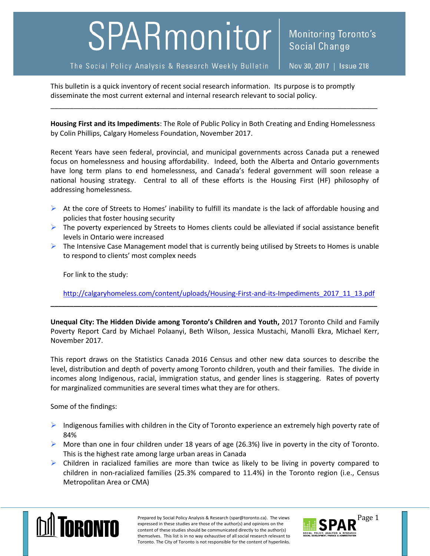## SPARmonitor

**Social Change** 

Monitoring Toronto's

This bulletin is a quick inventory of recent social research information. Its purpose is to promptly disseminate the most current external and internal research relevant to social policy.

**Housing First and its Impediments**: The Role of Public Policy in Both Creating and Ending Homelessness by Colin Phillips, Calgary Homeless Foundation, November 2017.

\_\_\_\_\_\_\_\_\_\_\_\_\_\_\_\_\_\_\_\_\_\_\_\_\_\_\_\_\_\_\_\_\_\_\_\_\_\_\_\_\_\_\_\_\_\_\_\_\_\_\_\_\_\_\_\_\_\_\_\_\_\_\_\_\_\_\_\_\_\_\_\_\_\_\_\_\_\_\_\_\_\_\_\_\_

Recent Years have seen federal, provincial, and municipal governments across Canada put a renewed focus on homelessness and housing affordability. Indeed, both the Alberta and Ontario governments have long term plans to end homelessness, and Canada's federal government will soon release a national housing strategy. Central to all of these efforts is the Housing First (HF) philosophy of addressing homelessness.

- $\triangleright$  At the core of Streets to Homes' inability to fulfill its mandate is the lack of affordable housing and policies that foster housing security
- $\triangleright$  The poverty experienced by Streets to Homes clients could be alleviated if social assistance benefit levels in Ontario were increased
- $\triangleright$  The Intensive Case Management model that is currently being utilised by Streets to Homes is unable to respond to clients' most complex needs

For link to the study:

[http://calgaryhomeless.com/content/uploads/Housing-First-and-its-Impediments\\_2017\\_11\\_13.pdf](http://calgaryhomeless.com/content/uploads/Housing-First-and-its-Impediments_2017_11_13.pdf)

**Unequal City: The Hidden Divide among Toronto's Children and Youth,** 2017 Toronto Child and Family Poverty Report Card by Michael Polaanyi, Beth Wilson, Jessica Mustachi, Manolli Ekra, Michael Kerr, November 2017.

**\_\_\_\_\_\_\_\_\_\_\_\_\_\_\_\_\_\_\_\_\_\_\_\_\_\_\_\_\_\_\_\_\_\_\_\_\_\_\_\_\_\_\_\_\_\_\_\_\_\_\_\_\_\_\_\_\_\_\_\_\_\_\_\_\_\_\_\_\_\_\_\_\_\_\_\_\_\_\_\_\_\_\_\_\_**

This report draws on the Statistics Canada 2016 Census and other new data sources to describe the level, distribution and depth of poverty among Toronto children, youth and their families. The divide in incomes along Indigenous, racial, immigration status, and gender lines is staggering. Rates of poverty for marginalized communities are several times what they are for others.

Some of the findings:

- $\triangleright$  Indigenous families with children in the City of Toronto experience an extremely high poverty rate of 84%
- $\triangleright$  More than one in four children under 18 years of age (26.3%) live in poverty in the city of Toronto. This is the highest rate among large urban areas in Canada
- $\triangleright$  Children in racialized families are more than twice as likely to be living in poverty compared to children in non-racialized families (25.3% compared to 11.4%) in the Toronto region (i.e., Census Metropolitan Area or CMA)



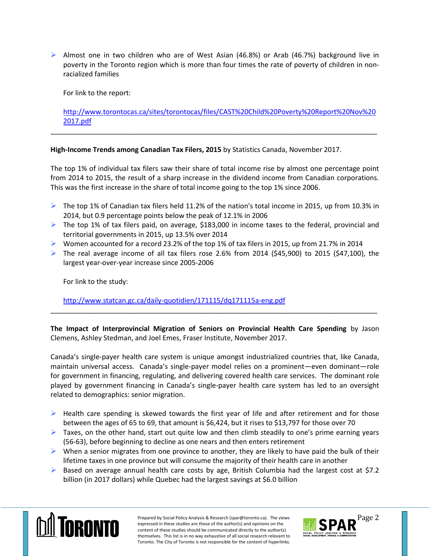$\triangleright$  Almost one in two children who are of West Asian (46.8%) or Arab (46.7%) background live in poverty in the Toronto region which is more than four times the rate of poverty of children in nonracialized families

For link to the report:

[http://www.torontocas.ca/sites/torontocas/files/CAST%20Child%20Poverty%20Report%20Nov%20](http://www.torontocas.ca/sites/torontocas/files/CAST%20Child%20Poverty%20Report%20Nov%202017.pdf) [2017.pdf](http://www.torontocas.ca/sites/torontocas/files/CAST%20Child%20Poverty%20Report%20Nov%202017.pdf)

\_\_\_\_\_\_\_\_\_\_\_\_\_\_\_\_\_\_\_\_\_\_\_\_\_\_\_\_\_\_\_\_\_\_\_\_\_\_\_\_\_\_\_\_\_\_\_\_\_\_\_\_\_\_\_\_\_\_\_\_\_\_\_\_\_\_\_\_\_\_\_\_\_\_\_\_\_\_\_\_\_\_\_\_\_

**High-Income Trends among Canadian Tax Filers, 2015** by Statistics Canada, November 2017.

The top 1% of individual tax filers saw their share of total income rise by almost one percentage point from 2014 to 2015, the result of a sharp increase in the dividend income from Canadian corporations. This was the first increase in the share of total income going to the top 1% since 2006.

- The top 1% of Canadian tax filers held 11.2% of the nation's total income in 2015, up from 10.3% in 2014, but 0.9 percentage points below the peak of 12.1% in 2006
- $\triangleright$  The top 1% of tax filers paid, on average, \$183,000 in income taxes to the federal, provincial and territorial governments in 2015, up 13.5% over 2014
- Women accounted for a record 23.2% of the top 1% of tax filers in 2015, up from 21.7% in 2014
- $\triangleright$  The real average income of all tax filers rose 2.6% from 2014 (\$45,900) to 2015 (\$47,100), the largest year-over-year increase since 2005-2006

For link to the study:

<http://www.statcan.gc.ca/daily-quotidien/171115/dq171115a-eng.pdf>

**The Impact of Interprovincial Migration of Seniors on Provincial Health Care Spending** by Jason Clemens, Ashley Stedman, and Joel Emes, Fraser Institute, November 2017.

\_\_\_\_\_\_\_\_\_\_\_\_\_\_\_\_\_\_\_\_\_\_\_\_\_\_\_\_\_\_\_\_\_\_\_\_\_\_\_\_\_\_\_\_\_\_\_\_\_\_\_\_\_\_\_\_\_\_\_\_\_\_\_\_\_\_\_\_\_\_\_\_\_\_\_\_\_\_\_\_\_\_\_\_\_

Canada's single-payer health care system is unique amongst industrialized countries that, like Canada, maintain universal access. Canada's single-payer model relies on a prominent—even dominant—role for government in financing, regulating, and delivering covered health care services. The dominant role played by government financing in Canada's single-payer health care system has led to an oversight related to demographics: senior migration.

- $\triangleright$  Health care spending is skewed towards the first year of life and after retirement and for those between the ages of 65 to 69, that amount is \$6,424, but it rises to \$13,797 for those over 70
- $\triangleright$  Taxes, on the other hand, start out quite low and then climb steadily to one's prime earning years (56-63), before beginning to decline as one nears and then enters retirement
- $\triangleright$  When a senior migrates from one province to another, they are likely to have paid the bulk of their lifetime taxes in one province but will consume the majority of their health care in another
- $\triangleright$  Based on average annual health care costs by age, British Columbia had the largest cost at \$7.2 billion (in 2017 dollars) while Quebec had the largest savings at \$6.0 billion